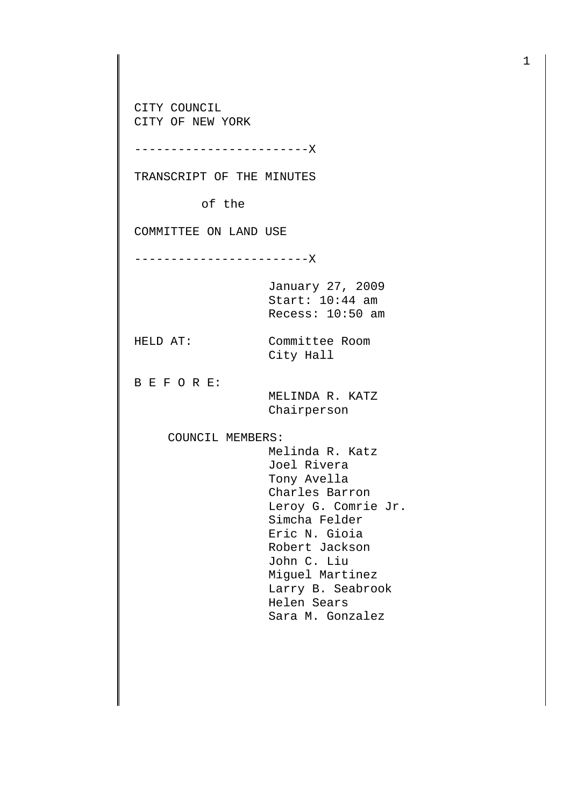CITY COUNCIL CITY OF NEW YORK

------------------------X

TRANSCRIPT OF THE MINUTES

of the

COMMITTEE ON LAND USE

------------------------X

January 27, 2009 Start: 10:44 am Recess: 10:50 am

HELD AT: Committee Room City Hall

B E F O R E:

 MELINDA R. KATZ Chairperson

COUNCIL MEMBERS:

 Melinda R. Katz Joel Rivera Tony Avella Charles Barron Leroy G. Comrie Jr. Simcha Felder Eric N. Gioia Robert Jackson John C. Liu Miguel Martinez Larry B. Seabrook Helen Sears Sara M. Gonzalez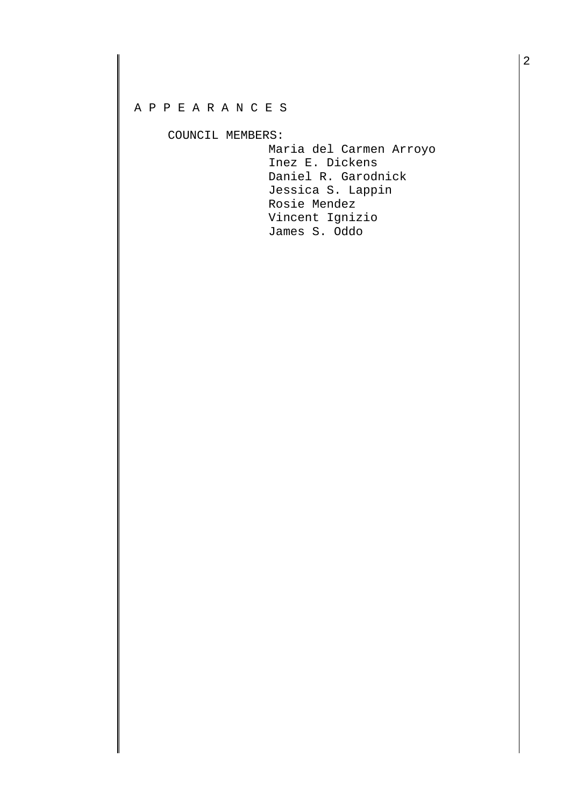## A P P E A R A N C E S

COUNCIL MEMBERS:

 Maria del Carmen Arroyo Inez E. Dickens Daniel R. Garodnick Jessica S. Lappin Rosie Mendez Vincent Ignizio James S. Oddo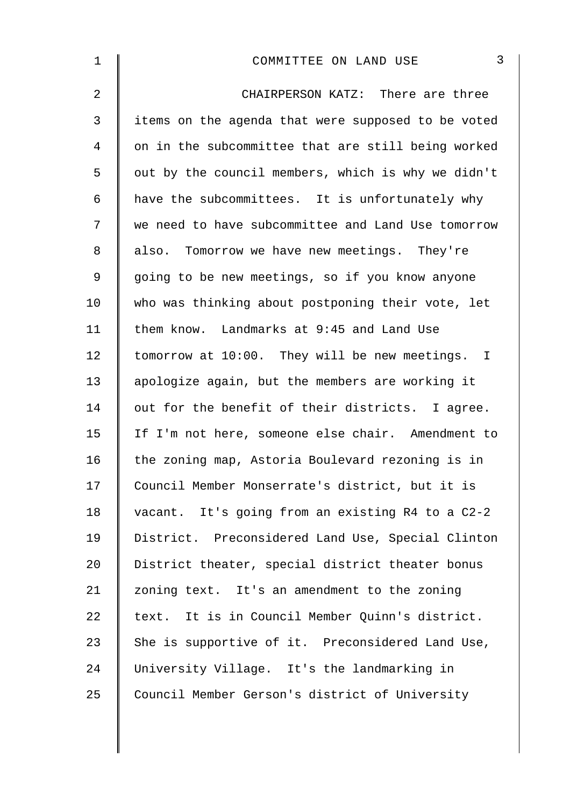| 1              | 3<br>COMMITTEE ON LAND USE                         |
|----------------|----------------------------------------------------|
| $\overline{2}$ | CHAIRPERSON KATZ: There are three                  |
| 3              | items on the agenda that were supposed to be voted |
| 4              | on in the subcommittee that are still being worked |
| 5              | out by the council members, which is why we didn't |
| 6              | have the subcommittees. It is unfortunately why    |
| 7              | we need to have subcommittee and Land Use tomorrow |
| 8              | also. Tomorrow we have new meetings. They're       |
| $\mathsf 9$    | going to be new meetings, so if you know anyone    |
| 10             | who was thinking about postponing their vote, let  |
| 11             | them know. Landmarks at 9:45 and Land Use          |
| 12             | tomorrow at 10:00. They will be new meetings. I    |
| 13             | apologize again, but the members are working it    |
| 14             | out for the benefit of their districts. I agree.   |
| 15             | If I'm not here, someone else chair. Amendment to  |
| 16             | the zoning map, Astoria Boulevard rezoning is in   |
| 17             | Council Member Monserrate's district, but it is    |
| 18             | vacant. It's going from an existing R4 to a C2-2   |
| 19             | District. Preconsidered Land Use, Special Clinton  |
| 20             | District theater, special district theater bonus   |
| 21             | zoning text. It's an amendment to the zoning       |
| 22             | text. It is in Council Member Quinn's district.    |
| 23             | She is supportive of it. Preconsidered Land Use,   |
| 24             | University Village. It's the landmarking in        |
| 25             | Council Member Gerson's district of University     |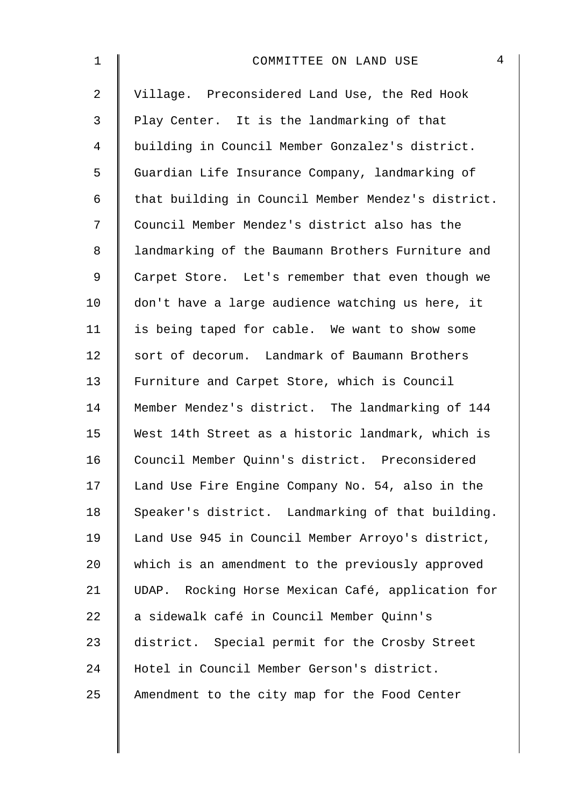| 1              | $\overline{4}$<br>COMMITTEE ON LAND USE            |
|----------------|----------------------------------------------------|
| $\overline{a}$ | Village. Preconsidered Land Use, the Red Hook      |
| $\mathfrak{Z}$ | Play Center. It is the landmarking of that         |
| 4              | building in Council Member Gonzalez's district.    |
| 5              | Guardian Life Insurance Company, landmarking of    |
| 6              | that building in Council Member Mendez's district. |
| 7              | Council Member Mendez's district also has the      |
| 8              | landmarking of the Baumann Brothers Furniture and  |
| 9              | Carpet Store. Let's remember that even though we   |
| 10             | don't have a large audience watching us here, it   |
| 11             | is being taped for cable. We want to show some     |
| 12             | sort of decorum. Landmark of Baumann Brothers      |
| 13             | Furniture and Carpet Store, which is Council       |
| 14             | Member Mendez's district. The landmarking of 144   |
| 15             | West 14th Street as a historic landmark, which is  |
| 16             | Council Member Quinn's district. Preconsidered     |
| 17             | Land Use Fire Engine Company No. 54, also in the   |
| 18             | Speaker's district. Landmarking of that building.  |
| 19             | Land Use 945 in Council Member Arroyo's district,  |
| 20             | which is an amendment to the previously approved   |
| 21             | UDAP. Rocking Horse Mexican Café, application for  |
| 22             | a sidewalk café in Council Member Quinn's          |
| 23             | district. Special permit for the Crosby Street     |
| 24             | Hotel in Council Member Gerson's district.         |
| 25             | Amendment to the city map for the Food Center      |
|                |                                                    |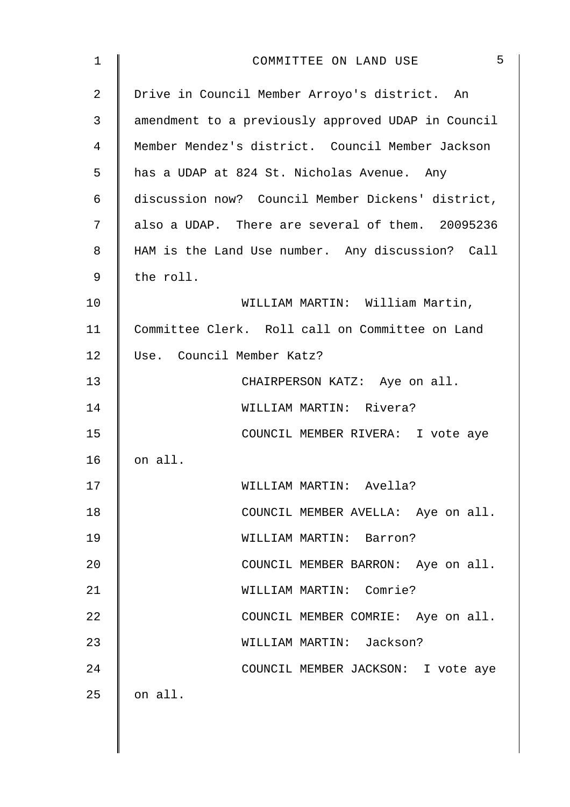| $\mathbf 1$    | 5<br>COMMITTEE ON LAND USE                         |
|----------------|----------------------------------------------------|
| $\overline{2}$ | Drive in Council Member Arroyo's district. An      |
| 3              | amendment to a previously approved UDAP in Council |
| 4              | Member Mendez's district. Council Member Jackson   |
| 5              | has a UDAP at 824 St. Nicholas Avenue. Any         |
| 6              | discussion now? Council Member Dickens' district,  |
| 7              | also a UDAP. There are several of them. 20095236   |
| 8              | HAM is the Land Use number. Any discussion? Call   |
| 9              | the roll.                                          |
| 10             | WILLIAM MARTIN: William Martin,                    |
| 11             | Committee Clerk. Roll call on Committee on Land    |
| 12             | Use. Council Member Katz?                          |
| 13             | CHAIRPERSON KATZ: Aye on all.                      |
| 14             | WILLIAM MARTIN: Rivera?                            |
| 15             | COUNCIL MEMBER RIVERA: I vote aye                  |
| 16             | on all.                                            |
| 17             | WILLIAM MARTIN: Avella?                            |
| 18             | COUNCIL MEMBER AVELLA: Aye on all.                 |
| 19             | WILLIAM MARTIN: Barron?                            |
| 20             | COUNCIL MEMBER BARRON: Aye on all.                 |
| 21             | WILLIAM MARTIN: Comrie?                            |
| 22             | COUNCIL MEMBER COMRIE: Aye on all.                 |
| 23             | WILLIAM MARTIN: Jackson?                           |
| 24             | COUNCIL MEMBER JACKSON: I vote aye                 |
| 25             | on all.                                            |
|                |                                                    |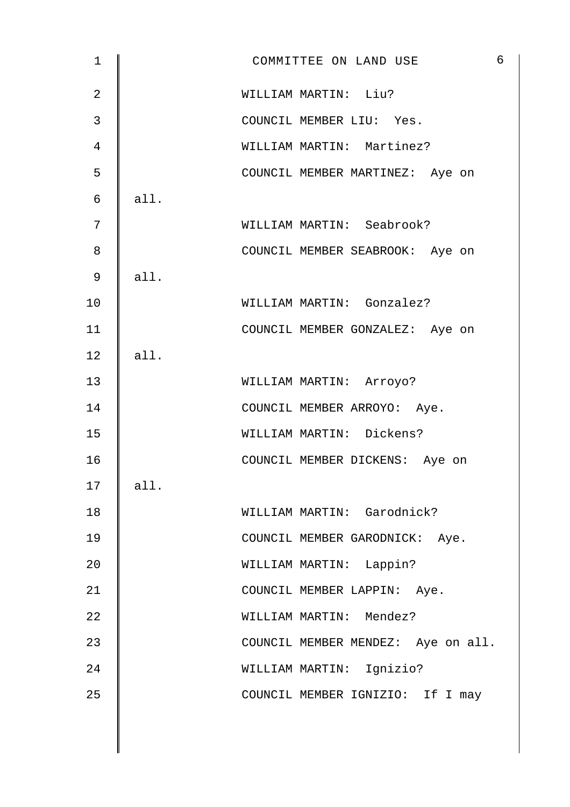| $\mathbf 1$    |      | $\epsilon$<br>COMMITTEE ON LAND USE |
|----------------|------|-------------------------------------|
| $\overline{2}$ |      | WILLIAM MARTIN: Liu?                |
| $\mathfrak{Z}$ |      | COUNCIL MEMBER LIU: Yes.            |
| $\overline{4}$ |      | WILLIAM MARTIN: Martinez?           |
| 5              |      | COUNCIL MEMBER MARTINEZ: Aye on     |
| 6              | all. |                                     |
| 7              |      | WILLIAM MARTIN: Seabrook?           |
| 8              |      | COUNCIL MEMBER SEABROOK: Aye on     |
| 9              | all. |                                     |
| 10             |      | WILLIAM MARTIN: Gonzalez?           |
| 11             |      | COUNCIL MEMBER GONZALEZ: Aye on     |
| 12             | all. |                                     |
| 13             |      | WILLIAM MARTIN: Arroyo?             |
| 14             |      | COUNCIL MEMBER ARROYO: Aye.         |
| 15             |      | WILLIAM MARTIN: Dickens?            |
| 16             |      | COUNCIL MEMBER DICKENS: Aye on      |
| 17             | all. |                                     |
| 18             |      | WILLIAM MARTIN: Garodnick?          |
| 19             |      | COUNCIL MEMBER GARODNICK: Aye.      |
| 20             |      | WILLIAM MARTIN: Lappin?             |
| 21             |      | COUNCIL MEMBER LAPPIN: Aye.         |
| 22             |      | WILLIAM MARTIN: Mendez?             |
| 23             |      | COUNCIL MEMBER MENDEZ: Aye on all.  |
| 24             |      | WILLIAM MARTIN: Ignizio?            |
| 25             |      | COUNCIL MEMBER IGNIZIO: If I may    |
|                |      |                                     |
|                |      |                                     |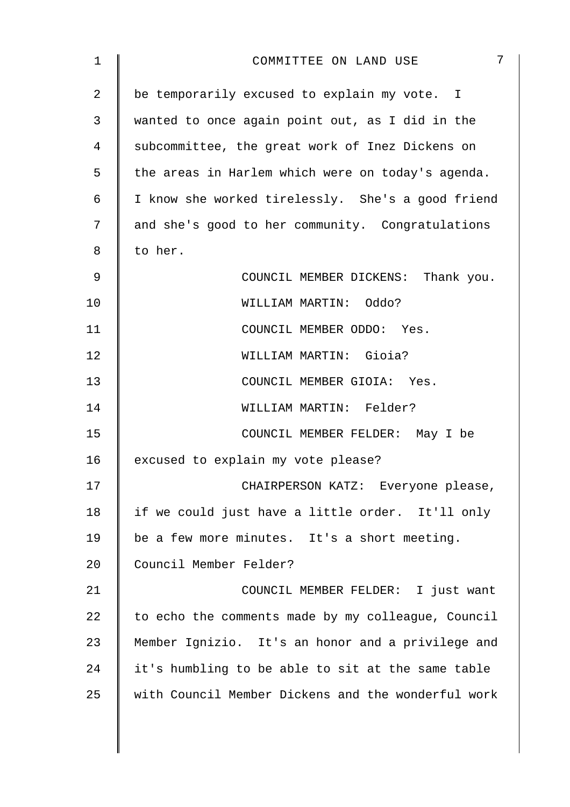| 1  | 7<br>COMMITTEE ON LAND USE                         |
|----|----------------------------------------------------|
| 2  | be temporarily excused to explain my vote. I       |
| 3  | wanted to once again point out, as I did in the    |
| 4  | subcommittee, the great work of Inez Dickens on    |
| 5  | the areas in Harlem which were on today's agenda.  |
| 6  | I know she worked tirelessly. She's a good friend  |
| 7  | and she's good to her community. Congratulations   |
| 8  | to her.                                            |
| 9  | COUNCIL MEMBER DICKENS: Thank you.                 |
| 10 | WILLIAM MARTIN: Oddo?                              |
| 11 | COUNCIL MEMBER ODDO: Yes.                          |
| 12 | WILLIAM MARTIN: Gioia?                             |
| 13 | COUNCIL MEMBER GIOIA: Yes.                         |
| 14 | WILLIAM MARTIN: Felder?                            |
| 15 | COUNCIL MEMBER FELDER: May I be                    |
| 16 | excused to explain my vote please?                 |
| 17 | CHAIRPERSON KATZ: Everyone please,                 |
| 18 | if we could just have a little order. It'll only   |
| 19 | be a few more minutes. It's a short meeting.       |
| 20 | Council Member Felder?                             |
| 21 | COUNCIL MEMBER FELDER: I just want                 |
| 22 | to echo the comments made by my colleague, Council |
| 23 | Member Ignizio. It's an honor and a privilege and  |
| 24 | it's humbling to be able to sit at the same table  |
| 25 | with Council Member Dickens and the wonderful work |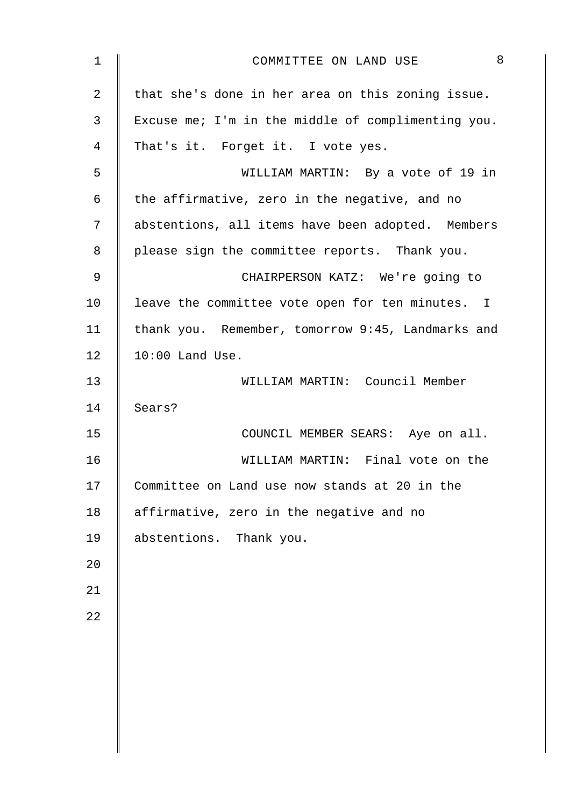| $\mathbf 1$    | 8<br>COMMITTEE ON LAND USE                         |
|----------------|----------------------------------------------------|
| $\overline{2}$ | that she's done in her area on this zoning issue.  |
| 3              | Excuse me; I'm in the middle of complimenting you. |
| 4              | That's it. Forget it. I vote yes.                  |
| 5              | WILLIAM MARTIN: By a vote of 19 in                 |
| 6              | the affirmative, zero in the negative, and no      |
| 7              | abstentions, all items have been adopted. Members  |
| 8              | please sign the committee reports. Thank you.      |
| 9              | CHAIRPERSON KATZ: We're going to                   |
| 10             | leave the committee vote open for ten minutes. I   |
| 11             | thank you. Remember, tomorrow 9:45, Landmarks and  |
| 12             | $10:00$ Land Use.                                  |
| 13             | WILLIAM MARTIN: Council Member                     |
| 14             | Sears?                                             |
| 15             | COUNCIL MEMBER SEARS: Aye on all.                  |
| 16             | WILLIAM MARTIN: Final vote on the                  |
| 17             | Committee on Land use now stands at 20 in the      |
| 18             | affirmative, zero in the negative and no           |
| 19             | abstentions. Thank you.                            |
| 20             |                                                    |
| 21             |                                                    |
| 22             |                                                    |
|                |                                                    |
|                |                                                    |
|                |                                                    |
|                |                                                    |
|                |                                                    |